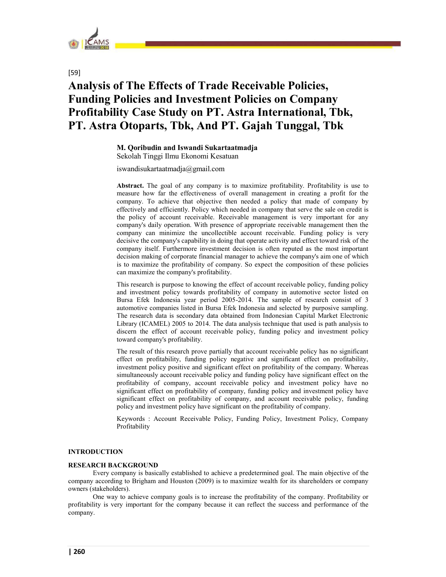

[59]

# Analysis of The Effects of Trade Receivable Policies, Funding Policies and Investment Policies on Company Profitability Case Study on PT. Astra International, Tbk, PT. Astra Otoparts, Tbk, And PT. Gajah Tunggal, Tbk

M. Qoribudin and Iswandi Sukartaatmadja

Sekolah Tinggi Ilmu Ekonomi Kesatuan

iswandisukartaatmadja@gmail.com

Abstract. The goal of any company is to maximize profitability. Profitability is use to measure how far the effectiveness of overall management in creating a profit for the company. To achieve that objective then needed a policy that made of company by effectively and efficiently. Policy which needed in company that serve the sale on credit is the policy of account receivable. Receivable management is very important for any company's daily operation. With presence of appropriate receivable management then the company can minimize the uncollectible account receivable. Funding policy is very decisive the company's capability in doing that operate activity and effect toward risk of the company itself. Furthermore investment decision is often reputed as the most important decision making of corporate financial manager to achieve the company's aim one of which is to maximize the profitability of company. So expect the composition of these policies can maximize the company's profitability.

This research is purpose to knowing the effect of account receivable policy, funding policy and investment policy towards profitability of company in automotive sector listed on Bursa Efek Indonesia year period 2005-2014. The sample of research consist of 3 automotive companies listed in Bursa Efek Indonesia and selected by purposive sampling. The research data is secondary data obtained from Indonesian Capital Market Electronic Library (ICAMEL) 2005 to 2014. The data analysis technique that used is path analysis to discern the effect of account receivable policy, funding policy and investment policy toward company's profitability.

The result of this research prove partially that account receivable policy has no significant effect on profitability, funding policy negative and significant effect on profitability, investment policy positive and significant effect on profitability of the company. Whereas simultaneously account receivable policy and funding policy have significant effect on the profitability of company, account receivable policy and investment policy have no significant effect on profitability of company, funding policy and investment policy have significant effect on profitability of company, and account receivable policy, funding policy and investment policy have significant on the profitability of company.

Keywords : Account Receivable Policy, Funding Policy, Investment Policy, Company Profitability

# INTRODUCTION

# RESEARCH BACKGROUND

Every company is basically established to achieve a predetermined goal. The main objective of the company according to Brigham and Houston (2009) is to maximize wealth for its shareholders or company owners (stakeholders).

One way to achieve company goals is to increase the profitability of the company. Profitability or profitability is very important for the company because it can reflect the success and performance of the company.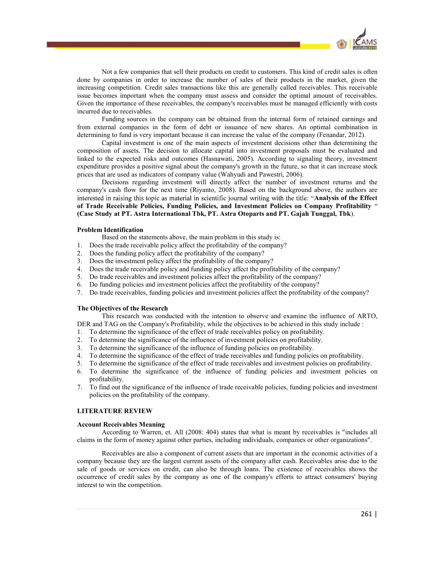

Not a few companies that sell their products on credit to customers. This kind of credit sales is often done by companies in order to increase the number of sales of their products in the market, given the increasing competition. Credit sales transactions like this are generally called receivables. This receivable issue becomes important when the company must assess and consider the optimal amount of receivables. Given the importance of these receivables, the company's receivables must be managed efficiently with costs incurred due to receivables.

Funding sources in the company can be obtained from the internal form of retained earnings and from external companies in the form of debt or issuance of new shares. An optimal combination in determining to fund is very important because it can increase the value of the company (Fenandar, 2012).

Capital investment is one of the main aspects of investment decisions other than determining the composition of assets. The decision to allocate capital into investment proposals must be evaluated and linked to the expected risks and outcomes (Hasnawati, 2005). According to signaling theory, investment expenditure provides a positive signal about the company's growth in the future, so that it can increase stock prices that are used as indicators of company value (Wahyudi and Pawestri, 2006).

Decisions regarding investment will directly affect the number of investment returns and the company's cash flow for the next time (Riyanto, 2008). Based on the background above, the authors are interested in raising this topic as material in scientific journal writing with the title: "Analysis of the Effect of Trade Receivable Policies, Funding Policies, and Investment Policies on Company Profitability (Case Study at PT. Astra International Tbk, PT. Astra Otoparts and PT. Gajah Tunggal, Tbk).

#### Problem Identification

Based on the statements above, the main problem in this study is:

- 1. Does the trade receivable policy affect the profitability of the company?
- 2. Does the funding policy affect the profitability of the company?
- 3. Does the investment policy affect the profitability of the company?
- 4. Does the trade receivable policy and funding policy affect the profitability of the company?
- 5. Do trade receivables and investment policies affect the profitability of the company?
- 6. Do funding policies and investment policies affect the profitability of the company?
- 7. Do trade receivables, funding policies and investment policies affect the profitability of the company?

#### The Objectives of the Research

This research was conducted with the intention to observe and examine the influence of ARTO, DER and TAG on the Company's Profitability, while the objectives to be achieved in this study include :

- 1. To determine the significance of the effect of trade receivables policy on profitability.
- 2. To determine the significance of the influence of investment policies on profitability.
- 3. To determine the significance of the influence of funding policies on profitability.
- 4. To determine the significance of the effect of trade receivables and funding policies on profitability.
- 5. To determine the significance of the effect of trade receivables and investment policies on profitability.
- 6. To determine the significance of the influence of funding policies and investment policies on profitability.
- 7. To find out the significance of the influence of trade receivable policies, funding policies and investment policies on the profitability of the company.

#### LITERATURE REVIEW

Account Receivables Meaning<br>According to Warren, et. All (2008: 404) states that what is meant by receivables is "includes all claims in the form of money against other parties, including individuals, companies or other organizations".

Receivables are also a component of current assets that are important in the economic activities of a company because they are the largest current assets of the company after cash. Receivables arise due to the sale of goods or services on credit, can also be through loans. The existence of receivables shows the occurrence of credit sales by the company as one of the company's efforts to attract consumers' buying interest to win the competition.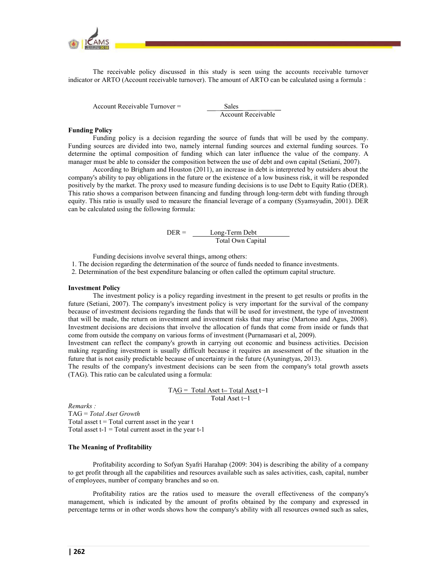

The receivable policy discussed in this study is seen using the accounts receivable turnover indicator or ARTO (Account receivable turnover). The amount of ARTO can be calculated using a formula :

Account Receivable Turnover = Sales

Account Receivable

#### Funding Policy

Funding policy is a decision regarding the source of funds that will be used by the company. Funding sources are divided into two, namely internal funding sources and external funding sources. To determine the optimal composition of funding which can later influence the value of the company. A manager must be able to consider the composition between the use of debt and own capital (Setiani, 2007).

According to Brigham and Houston (2011), an increase in debt is interpreted by outsiders about the company's ability to pay obligations in the future or the existence of a low business risk, it will be responded positively by the market. The proxy used to measure funding decisions is to use Debt to Equity Ratio (DER). This ratio shows a comparison between financing and funding through long-term debt with funding through equity. This ratio is usually used to measure the financial leverage of a company (Syamsyudin, 2001). DER can be calculated using the following formula:

$$
DER = \frac{Long-Term Debt}{Total Own Capital}
$$

Funding decisions involve several things, among others:

1. The decision regarding the determination of the source of funds needed to finance investments.

2. Determination of the best expenditure balancing or often called the optimum capital structure.

#### Investment Policy

 The investment policy is a policy regarding investment in the present to get results or profits in the future (Setiani, 2007). The company's investment policy is very important for the survival of the company because of investment decisions regarding the funds that will be used for investment, the type of investment that will be made, the return on investment and investment risks that may arise (Martono and Agus, 2008). Investment decisions are decisions that involve the allocation of funds that come from inside or funds that come from outside the company on various forms of investment (Purnamasari et al, 2009).

Investment can reflect the company's growth in carrying out economic and business activities. Decision making regarding investment is usually difficult because it requires an assessment of the situation in the future that is not easily predictable because of uncertainty in the future (Ayuningtyas, 2013).

The results of the company's investment decisions can be seen from the company's total growth assets (TAG). This ratio can be calculated using a formula:

$$
TAG = Total Aset t - Total Aset t - 1
$$
  
Total Aset t - 1

Remarks :

TAG = Total Aset Growth Total asset  $t = Total current asset in the year t$ Total asset  $t-1 = Total current asset in the year  $t-1$$ 

#### The Meaning of Profitability

Profitability according to Sofyan Syafri Harahap (2009: 304) is describing the ability of a company to get profit through all the capabilities and resources available such as sales activities, cash, capital, number of employees, number of company branches and so on.

Profitability ratios are the ratios used to measure the overall effectiveness of the company's management, which is indicated by the amount of profits obtained by the company and expressed in percentage terms or in other words shows how the company's ability with all resources owned such as sales,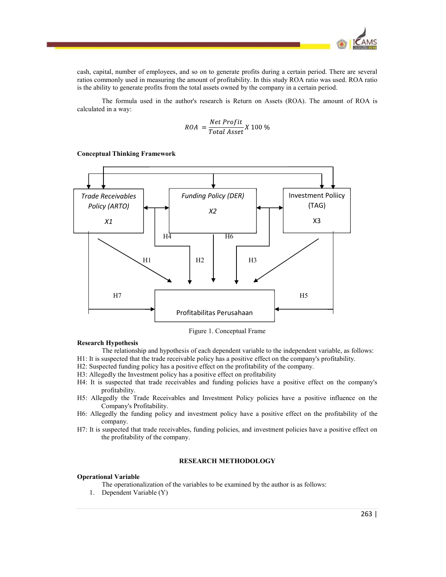

cash, capital, number of employees, and so on to generate profits during a certain period. There are several ratios commonly used in measuring the amount of profitability. In this study ROA ratio was used. ROA ratio is the ability to generate profits from the total assets owned by the company in a certain period.

The formula used in the author's research is Return on Assets (ROA). The amount of ROA is calculated in a way:

$$
ROA = \frac{Net Profit}{Total Asset} X 100 %
$$

Conceptual Thinking Framework



Figure 1. Conceptual Frame

# Research Hypothesis

The relationship and hypothesis of each dependent variable to the independent variable, as follows:

- H1: It is suspected that the trade receivable policy has a positive effect on the company's profitability.
- H2: Suspected funding policy has a positive effect on the profitability of the company.
- H3: Allegedly the Investment policy has a positive effect on profitability
- H4: It is suspected that trade receivables and funding policies have a positive effect on the company's profitability.
- H5: Allegedly the Trade Receivables and Investment Policy policies have a positive influence on the Company's Profitability.
- H6: Allegedly the funding policy and investment policy have a positive effect on the profitability of the company.
- H7: It is suspected that trade receivables, funding policies, and investment policies have a positive effect on the profitability of the company.

# RESEARCH METHODOLOGY

#### Operational Variable

The operationalization of the variables to be examined by the author is as follows:

1. Dependent Variable (Y)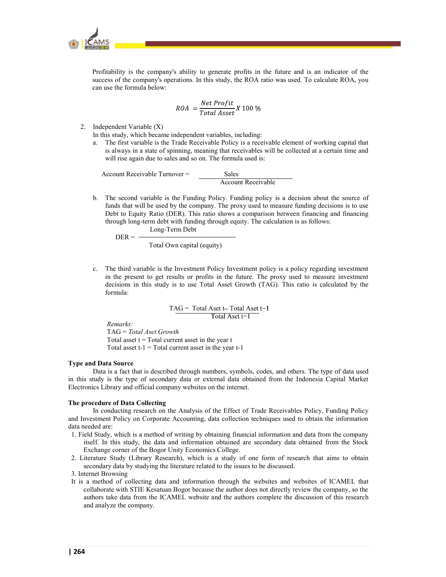

Profitability is the company's ability to generate profits in the future and is an indicator of the success of the company's operations. In this study, the ROA ratio was used. To calculate ROA, you can use the formula below:

$$
ROA = \frac{Net Profit}{Total Asset} X 100 %
$$

2. Independent Variable (X)

In this study, which became independent variables, including: a. The first variable is the Trade Receivable Policy is a receivable element of working capital that is always in a state of spinning, meaning that receivables will be collected at a certain time and will rise again due to sales and so on. The formula used is:

Account Receivable Turnover = Sales

Account Receivable

b. The second variable is the Funding Policy. Funding policy is a decision about the source of funds that will be used by the company. The proxy used to measure funding decisions is to use Debt to Equity Ratio (DER). This ratio shows a comparison between financing and financing through long-term debt with funding through equity. The calculation is as follows:

 Long-Term Debt  $DER = -$ 

Total Own capital (equity)<br>
c. The third variable is the Investment Policy Investment policy is a policy regarding investment in the present to get results or profits in the future. The proxy used to measure investment decisions in this study is to use Total Asset Growth (TAG). This ratio is calculated by the formula:

> TAG = Total Aset t-Total Aset  $t-1$ Total Aset t-1

Remarks:

TAG = Total Aset Growth Total asset  $t = Total$  current asset in the year  $t$ Total asset  $t-1 = Total current asset in the year  $t-1$$ 

#### Type and Data Source

Data is a fact that is described through numbers, symbols, codes, and others. The type of data used in this study is the type of secondary data or external data obtained from the Indonesia Capital Market Electronics Library and official company websites on the internet.

#### The procedure of Data Collecting

In conducting research on the Analysis of the Effect of Trade Receivables Policy, Funding Policy and Investment Policy on Corporate Accounting, data collection techniques used to obtain the information data needed are:

- 1. Field Study, which is a method of writing by obtaining financial information and data from the company itself. In this study, the data and information obtained are secondary data obtained from the Stock Exchange corner of the Bogor Unity Economics College.
- 2. Literature Study (Library Research), which is a study of one form of research that aims to obtain secondary data by studying the literature related to the issues to be discussed.
- 3. Internet Browsing
- It is a method of collecting data and information through the websites and websites of ICAMEL that collaborate with STIE Kesatuan Bogor because the author does not directly review the company, so the authors take data from the ICAMEL website and the authors complete the discussion of this research and analyze the company.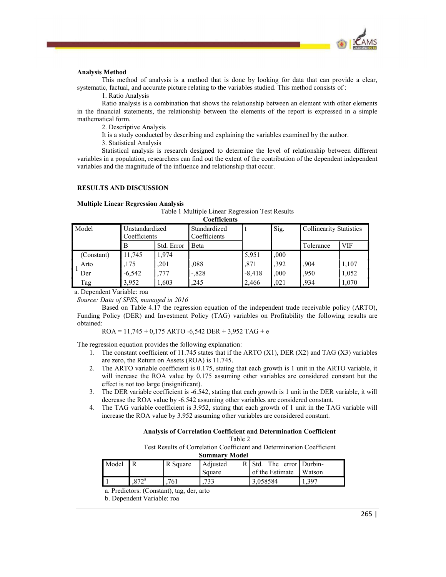

# Analysis Method

# RESULTS AND DISCUSSION

# Multiple Linear Regression Analysis

 $\overline{C}$ oefficients

| <b>Analysis Method</b><br>mathematical form.<br><b>RESULTS AND DISCUSSION</b> | 1. Ratio Analysis<br>2. Descriptive Analysis<br>3. Statistical Analysis |            | This method of analysis is a method that is done by looking for data that can provide a clear,<br>systematic, factual, and accurate picture relating to the variables studied. This method consists of :<br>Ratio analysis is a combination that shows the relationship between an element with other elements<br>in the financial statements, the relationship between the elements of the report is expressed in a simple<br>It is a study conducted by describing and explaining the variables examined by the author.<br>Statistical analysis is research designed to determine the level of relationship between different<br>variables in a population, researchers can find out the extent of the contribution of the dependent independent<br>variables and the magnitude of the influence and relationship that occur. |          |      |                                |            |
|-------------------------------------------------------------------------------|-------------------------------------------------------------------------|------------|---------------------------------------------------------------------------------------------------------------------------------------------------------------------------------------------------------------------------------------------------------------------------------------------------------------------------------------------------------------------------------------------------------------------------------------------------------------------------------------------------------------------------------------------------------------------------------------------------------------------------------------------------------------------------------------------------------------------------------------------------------------------------------------------------------------------------------|----------|------|--------------------------------|------------|
| <b>Multiple Linear Regression Analysis</b>                                    |                                                                         |            | Table 1 Multiple Linear Regression Test Results                                                                                                                                                                                                                                                                                                                                                                                                                                                                                                                                                                                                                                                                                                                                                                                 |          |      |                                |            |
| Model                                                                         | Unstandardized                                                          |            | <b>Coefficients</b><br>Standardized                                                                                                                                                                                                                                                                                                                                                                                                                                                                                                                                                                                                                                                                                                                                                                                             | t        | Sig. | <b>Collinearity Statistics</b> |            |
|                                                                               | Coefficients                                                            |            | Coefficients                                                                                                                                                                                                                                                                                                                                                                                                                                                                                                                                                                                                                                                                                                                                                                                                                    |          |      |                                |            |
|                                                                               | $\overline{B}$                                                          | Std. Error | <b>B</b> eta                                                                                                                                                                                                                                                                                                                                                                                                                                                                                                                                                                                                                                                                                                                                                                                                                    |          |      | Tolerance                      | <b>VIF</b> |
| (Constant)                                                                    | 11,745                                                                  | 1,974      |                                                                                                                                                                                                                                                                                                                                                                                                                                                                                                                                                                                                                                                                                                                                                                                                                                 | 5,951    | ,000 |                                |            |
| Arto                                                                          | ,175                                                                    | ,201       | 088                                                                                                                                                                                                                                                                                                                                                                                                                                                                                                                                                                                                                                                                                                                                                                                                                             | ,871     | ,392 | .904                           | 1,107      |
| Der                                                                           | $-6,542$                                                                | ,777       | $-0.828$                                                                                                                                                                                                                                                                                                                                                                                                                                                                                                                                                                                                                                                                                                                                                                                                                        | $-8,418$ | ,000 | ,950                           | 1,052      |
| Tag                                                                           | 3,952                                                                   | 1,603      | ,245                                                                                                                                                                                                                                                                                                                                                                                                                                                                                                                                                                                                                                                                                                                                                                                                                            | 2,466    | ,021 | .934                           | 1,070      |

a. Dependent Variable: roa

Source: Data of SPSS, managed in 2016

Based on Table 4.17 the regression equation of the independent trade receivable policy (ARTO), Funding Policy (DER) and Investment Policy (TAG) variables on Profitability the following results are obtained:

 $ROA = 11,745 + 0,175$  ARTO -6,542 DER + 3,952 TAG + e

The regression equation provides the following explanation:

- 1. The constant coefficient of 11.745 states that if the ARTO (X1), DER (X2) and TAG (X3) variables are zero, the Return on Assets (ROA) is 11.745.
- 2. The ARTO variable coefficient is 0.175, stating that each growth is 1 unit in the ARTO variable, it will increase the ROA value by 0.175 assuming other variables are considered constant but the effect is not too large (insignificant).
- 3. The DER variable coefficient is -6.542, stating that each growth is 1 unit in the DER variable, it will decrease the ROA value by -6.542 assuming other variables are considered constant.
- 4. The TAG variable coefficient is 3.952, stating that each growth of 1 unit in the TAG variable will increase the ROA value by 3.952 assuming other variables are considered constant.

# Analysis of Correlation Coefficient and Determination Coefficient

Test Results of Correlation Coefficient and Determination Coefficient

| Summary Model |  |
|---------------|--|
|               |  |

| Model |      | R Square | Adjusted<br>R | The<br>' Std    | error   Durbin- |
|-------|------|----------|---------------|-----------------|-----------------|
|       |      |          | Square        | of the Estimate | Watson          |
|       | O72a | 761      | 722<br>ر ر    | 3.058584        | 1,397           |

a. Predictors: (Constant), tag, der, arto

b. Dependent Variable: roa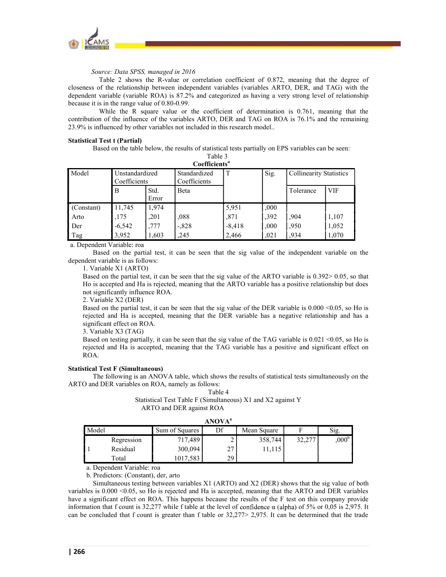

Source: Data SPSS, managed in 2016

Table 2 shows the R-value or correlation coefficient of 0.872, meaning that the degree of closeness of the relationship between independent variables (variables ARTO, DER, and TAG) with the dependent variable (variable ROA) is 87.2% and categorized as having a very strong level of relationship because it is in the range value of 0.80-0.99.

While the R square value or the coefficient of determination is 0.761, meaning that the contribution of the influence of the variables ARTO, DER and TAG on ROA is 76.1% and the remaining 23.9% is influenced by other variables not included in this research model..

### Statistical Test t (Partial)

Based on the table below, the results of statistical tests partially on EPS variables can be seen:

| Table 3                       |  |
|-------------------------------|--|
| $\alpha$ fficiante $^{\rm a}$ |  |

|            |                                |               | Coefficients <sup>a</sup>    |          |      |                                |       |
|------------|--------------------------------|---------------|------------------------------|----------|------|--------------------------------|-------|
| Model      | Unstandardized<br>Coefficients |               | Standardized<br>Coefficients | T        | Sig. | <b>Collinearity Statistics</b> |       |
|            | B                              | Std.<br>Error | Beta                         |          |      | Tolerance                      | VIF   |
| (Constant) | 11,745                         | 1,974         |                              | 5,951    | ,000 |                                |       |
| Arto       | ,175                           | ,201          | .088                         | ,871     | ,392 | .904                           | 1,107 |
| Der        | $-6,542$                       | .777          | $-0.828$                     | $-8,418$ | ,000 | ,950                           | 1,052 |
| Tag        | 3,952                          | 1,603         | ,245                         | 2,466    | ,021 | .934                           | 1,070 |

a. Dependent Variable: roa

Based on the partial test, it can be seen that the sig value of the independent variable on the dependent variable is as follows:

1. Variable X1 (ARTO)

Based on the partial test, it can be seen that the sig value of the ARTO variable is 0.392> 0.05, so that Ho is accepted and Ha is rejected, meaning that the ARTO variable has a positive relationship but does not significantly influence ROA.

2. Variable X2 (DER)

Based on the partial test, it can be seen that the sig value of the DER variable is 0.000 <0.05, so Ho is rejected and Ha is accepted, meaning that the DER variable has a negative relationship and has a significant effect on ROA.

3. Variable X3 (TAG)

Based on testing partially, it can be seen that the sig value of the TAG variable is 0.021 <0.05, so Ho is rejected and Ha is accepted, meaning that the TAG variable has a positive and significant effect on ROA.

#### Statistical Test F (Simultaneous)

The following is an ANOVA table, which shows the results of statistical tests simultaneously on the ARTO and DER variables on ROA, namely as follows:

# Table 4 Statistical Test Table F (Simultaneous) X1 and X2 against Y ARTO and DER against ROA

|       |            |                | <b>ANOVA</b> <sup>a</sup> |             |                  |                   |
|-------|------------|----------------|---------------------------|-------------|------------------|-------------------|
| Model |            | Sum of Squares | Df                        | Mean Square | Ē                | Sig.              |
|       | Regression | 717,489        | ∼                         | 358,744     | 32.277<br>، ڪي ڪ | ,000 <sup>b</sup> |
|       | Residual   | 300,094        | 27<br>∠⊣                  | 11,115      |                  |                   |

a. Dependent Variable: roa

b. Predictors: (Constant), der, arto

Simultaneous testing between variables X1 (ARTO) and X2 (DER) shows that the sig value of both variables is 0.000 <0.05, so Ho is rejected and Ha is accepted, meaning that the ARTO and DER variables have a significant effect on ROA. This happens because the results of the F test on this company provide information that f count is 32,277 while f table at the level of confidence  $\alpha$  (alpha) of 5% or 0,05 is 2,975. It can be concluded that f count is greater than f table or 32,277> 2,975. It can be determined that the trade

Total 1017,583 29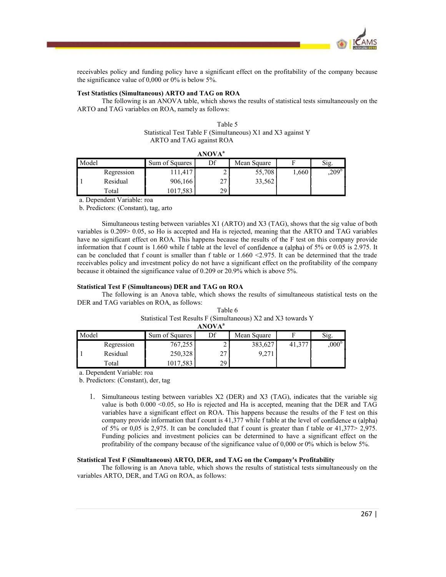

receivables policy and funding policy have a significant effect on the profitability of the company because the significance value of 0,000 or 0% is below 5%.

# Test Statistics (Simultaneous) ARTO and TAG on ROA

The following is an ANOVA table, which shows the results of statistical tests simultaneously on the ARTO and TAG variables on ROA, namely as follows:

| Table 5                                                     |  |
|-------------------------------------------------------------|--|
| Statistical Test Table F (Simultaneous) X1 and X3 against Y |  |
| ARTO and TAG against ROA                                    |  |

|       |            |                | <b>ANOVA</b> <sup>a</sup> |             |      |                |
|-------|------------|----------------|---------------------------|-------------|------|----------------|
| Model |            | Sum of Squares | Df                        | Mean Square | -    | Sig.           |
|       | Regression | 11,417         |                           | 55,708      | ,660 | $,209^{\rm b}$ |
|       | Residual   | 906,166        | $\mathcal{L}$<br>∠        | 33,562      |      |                |
|       | Total      | 1017,583       | 29                        |             |      |                |

a. Dependent Variable: roa

b. Predictors: (Constant), tag, arto

Simultaneous testing between variables X1 (ARTO) and X3 (TAG), shows that the sig value of both variables is 0.209> 0.05, so Ho is accepted and Ha is rejected, meaning that the ARTO and TAG variables have no significant effect on ROA. This happens because the results of the F test on this company provide information that f count is 1.660 while f table at the level of confidence  $\alpha$  (alpha) of 5% or 0.05 is 2.975. It can be concluded that f count is smaller than f table or  $1.660 \le 2.975$ . It can be determined that the trade receivables policy and investment policy do not have a significant effect on the profitability of the company because it obtained the significance value of 0.209 or 20.9% which is above 5%.

# Statistical Test F (Simultaneous) DER and TAG on ROA

The following is an Anova table, which shows the results of simultaneous statistical tests on the DER and TAG variables on ROA, as follows:

| Table 6                                                       |  |
|---------------------------------------------------------------|--|
| Statistical Test Results F (Simultaneous) X2 and X3 towards Y |  |
| ANOVA <sup>a</sup>                                            |  |

| <b>AIVUVA</b> |            |                |             |                |        |                |
|---------------|------------|----------------|-------------|----------------|--------|----------------|
| Model         |            | Sum of Squares | Df          | Mean Square    |        | $\sim$<br>S1g. |
|               | Regression | 767,255        | -           | 383,627        | 41,377 | $,000^{\circ}$ |
|               | Residual   | 250,328        | $\sim$<br>∠ | 0.271<br>7.411 |        |                |
|               | Total      | 17,583<br>1017 | 29          |                |        |                |

a. Dependent Variable: roa

b. Predictors: (Constant), der, tag

1. Simultaneous testing between variables X2 (DER) and X3 (TAG), indicates that the variable sig value is both 0.000 <0.05, so Ho is rejected and Ha is accepted, meaning that the DER and TAG variables have a significant effect on ROA. This happens because the results of the F test on this company provide information that f count is 41,377 while f table at the level of confidence  $\alpha$  (alpha) of 5% or 0,05 is 2,975. It can be concluded that f count is greater than f table or 41,377> 2,975. Funding policies and investment policies can be determined to have a significant effect on the profitability of the company because of the significance value of 0,000 or 0% which is below 5%.

#### Statistical Test F (Simultaneous) ARTO, DER, and TAG on the Company's Profitability

The following is an Anova table, which shows the results of statistical tests simultaneously on the variables ARTO, DER, and TAG on ROA, as follows: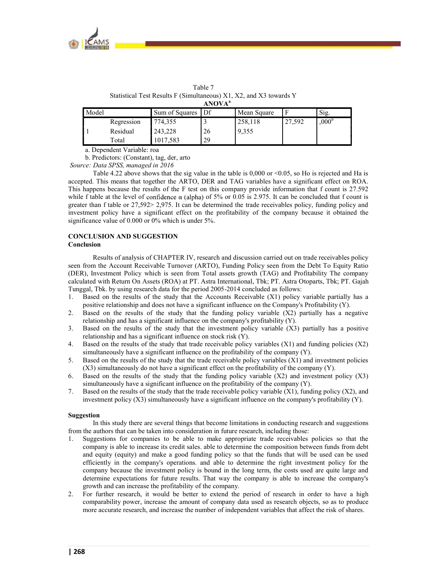

| Statistical Test Results F (Simultaneous) X1, X2, and X3 towards Y<br>ANOVA <sup>a</sup> |            |                   |  |             |        |                             |
|------------------------------------------------------------------------------------------|------------|-------------------|--|-------------|--------|-----------------------------|
| Model                                                                                    |            | Sum of Squares Df |  | Mean Square |        | $\mathrm{Si}\mathfrak{g}$ . |
|                                                                                          | Regression | 774,355           |  | 258,118     | 27,592 | .000 <sup>b</sup>           |

Residual 243,228 26 9,355

Table 7

a. Dependent Variable: roa

1 Residual

b. Predictors: (Constant), tag, der, arto

Total 1017,583 29

Source: Data SPSS, managed in 2016

Table 4.22 above shows that the sig value in the table is  $0.000$  or  $\leq 0.05$ , so Ho is rejected and Ha is accepted. This means that together the ARTO, DER and TAG variables have a significant effect on ROA. This happens because the results of the F test on this company provide information that f count is 27.592 while f table at the level of confidence  $\alpha$  (alpha) of 5% or 0.05 is 2.975. It can be concluded that f count is greater than f table or 27,592> 2,975. It can be determined the trade receivables policy, funding policy and investment policy have a significant effect on the profitability of the company because it obtained the significance value of 0.000 or 0% which is under 5%.

# CONCLUSION AND SUGGESTION

# Conclusion

Results of analysis of CHAPTER IV, research and discussion carried out on trade receivables policy seen from the Account Receivable Turnover (ARTO), Funding Policy seen from the Debt To Equity Ratio (DER), Investment Policy which is seen from Total assets growth (TAG) and Profitability The company calculated with Return On Assets (ROA) at PT. Astra International, Tbk; PT. Astra Otoparts, Tbk; PT. Gajah Tunggal, Tbk. by using research data for the period 2005-2014 concluded as follows:

- 1. Based on the results of the study that the Accounts Receivable (X1) policy variable partially has a positive relationship and does not have a significant influence on the Company's Profitability (Y).
- 2. Based on the results of the study that the funding policy variable (X2) partially has a negative relationship and has a significant influence on the company's profitability (Y).
- 3. Based on the results of the study that the investment policy variable (X3) partially has a positive relationship and has a significant influence on stock risk (Y).
- 4. Based on the results of the study that trade receivable policy variables (X1) and funding policies (X2) simultaneously have a significant influence on the profitability of the company (Y).
- 5. Based on the results of the study that the trade receivable policy variables (X1) and investment policies (X3) simultaneously do not have a significant effect on the profitability of the company (Y).
- 6. Based on the results of the study that the funding policy variable (X2) and investment policy (X3) simultaneously have a significant influence on the profitability of the company (Y).
- 7. Based on the results of the study that the trade receivable policy variable (X1), funding policy (X2), and investment policy (X3) simultaneously have a significant influence on the company's profitability (Y).

#### Suggestion

In this study there are several things that become limitations in conducting research and suggestions from the authors that can be taken into consideration in future research, including those:

- 1. Suggestions for companies to be able to make appropriate trade receivables policies so that the company is able to increase its credit sales. able to determine the composition between funds from debt and equity (equity) and make a good funding policy so that the funds that will be used can be used efficiently in the company's operations. and able to determine the right investment policy for the company because the investment policy is bound in the long term, the costs used are quite large and determine expectations for future results. That way the company is able to increase the company's growth and can increase the profitability of the company.
- 2. For further research, it would be better to extend the period of research in order to have a high comparability power, increase the amount of company data used as research objects, so as to produce more accurate research, and increase the number of independent variables that affect the risk of shares.